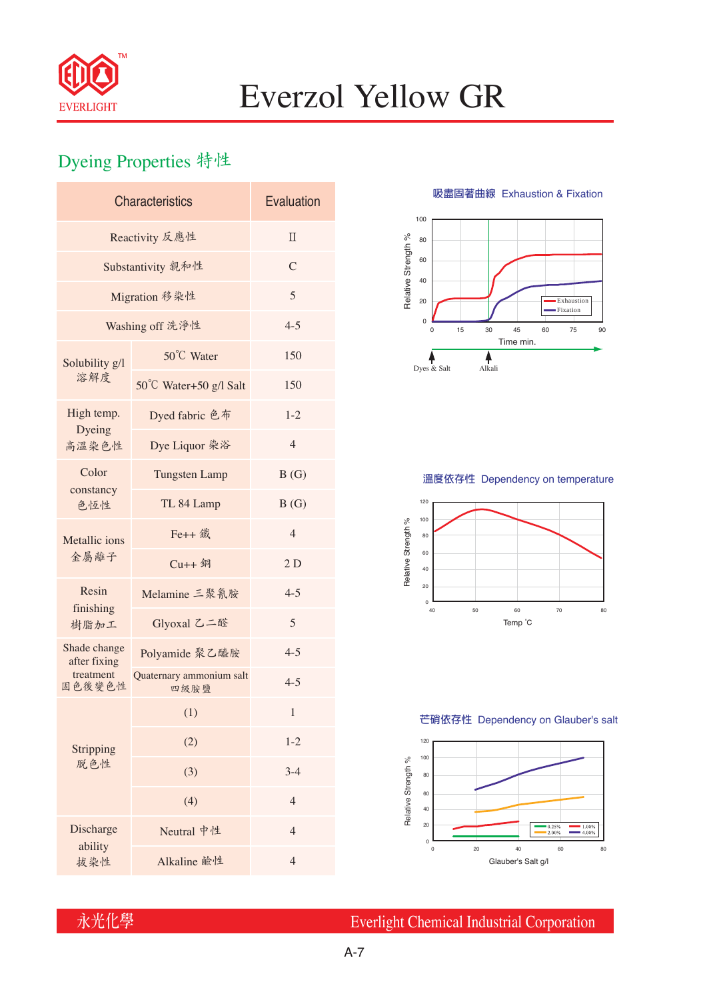

# Everzol Yellow GR

### Dyeing Properties 特性

| Reactivity 反應性<br>$\Pi$<br>$\mathcal{C}$<br>Substantivity 親和性<br>5<br>Migration 移染性 |
|-------------------------------------------------------------------------------------|
|                                                                                     |
|                                                                                     |
|                                                                                     |
| $4 - 5$<br>Washing off 洗淨性                                                          |
| 50°C Water<br>150<br>Solubility g/l                                                 |
| 溶解度<br>50°C Water+50 g/l Salt<br>150                                                |
| High temp.<br>Dyed fabric 色布<br>$1 - 2$<br>Dyeing                                   |
| $\overline{4}$<br>Dye Liquor 染浴<br>高溫染色性                                            |
| Color<br>B(G)<br><b>Tungsten Lamp</b>                                               |
| constancy<br>TL 84 Lamp<br>B(G)<br>色恆性                                              |
| Fe++ 鐵<br>$\overline{4}$<br>Metallic ions                                           |
| 金屬離子<br>2D<br>$Cu++4$                                                               |
| Resin<br>Melamine 三聚氰胺<br>$4 - 5$<br>finishing                                      |
| 5<br>Glyoxal 乙二醛<br>樹脂加工                                                            |
| Shade change<br>$4 - 5$<br>Polyamide 聚乙醯胺<br>after fixing                           |
| treatment<br>Quaternary ammonium salt<br>$4 - 5$<br>固色後變色性<br>四級胺鹽                  |
| $\mathbf{1}$<br>(1)                                                                 |
| (2)<br>$1 - 2$<br>Stripping                                                         |
| 脱色性<br>(3)<br>$3-4$                                                                 |
| (4)<br>$\overline{4}$                                                               |
| Discharge<br>Neutral 中性<br>$\overline{4}$                                           |
| ability<br>$\overline{4}$<br>Alkaline 鹼性<br>拔染性                                     |

**吸盡固著曲線** Exhaustion & Fixation



#### **溫度依存性** Dependency on temperature